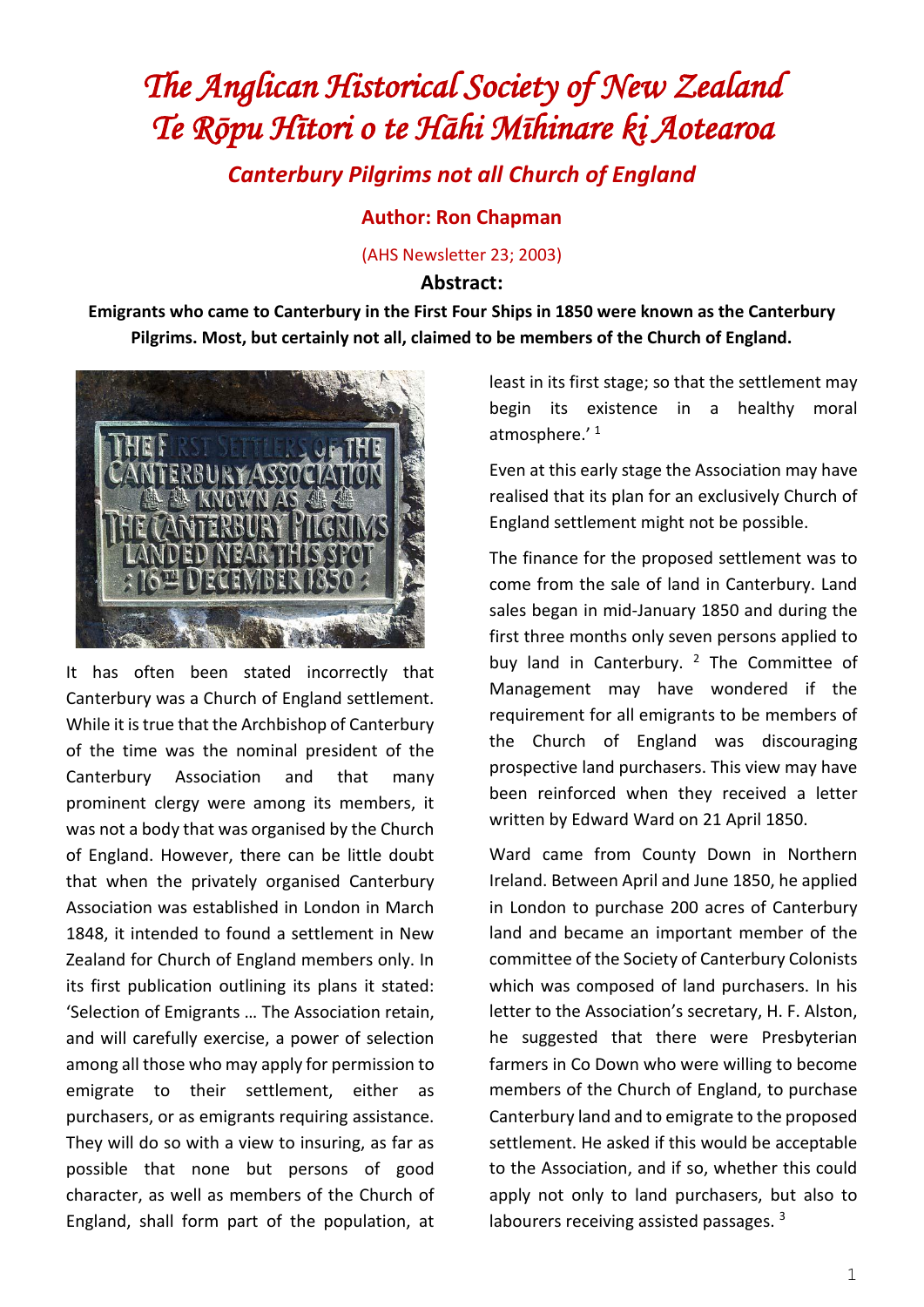## *The Anglican Historical Society of New Zealand Te Rōpu Hītori o te Hāhi Mīhinare ki Aotearoa*

*Canterbury Pilgrims not all Church of England*

## **Author: Ron Chapman**

(AHS Newsletter 23; 2003)

## **Abstract:**

**Emigrants who came to Canterbury in the First Four Ships in 1850 were known as the Canterbury Pilgrims. Most, but certainly not all, claimed to be members of the Church of England.**



It has often been stated incorrectly that Canterbury was a Church of England settlement. While it is true that the Archbishop of Canterbury of the time was the nominal president of the Canterbury Association and that many prominent clergy were among its members, it was not a body that was organised by the Church of England. However, there can be little doubt that when the privately organised Canterbury Association was established in London in March 1848, it intended to found a settlement in New Zealand for Church of England members only. In its first publication outlining its plans it stated: 'Selection of Emigrants … The Association retain, and will carefully exercise, a power of selection among all those who may apply for permission to emigrate to their settlement, either as purchasers, or as emigrants requiring assistance. They will do so with a view to insuring, as far as possible that none but persons of good character, as well as members of the Church of England, shall form part of the population, at least in its first stage; so that the settlement may begin its existence in a healthy moral atmosphere.' <sup>1</sup>

Even at this early stage the Association may have realised that its plan for an exclusively Church of England settlement might not be possible.

The finance for the proposed settlement was to come from the sale of land in Canterbury. Land sales began in mid-January 1850 and during the first three months only seven persons applied to buy land in Canterbury.  $2$  The Committee of Management may have wondered if the requirement for all emigrants to be members of the Church of England was discouraging prospective land purchasers. This view may have been reinforced when they received a letter written by Edward Ward on 21 April 1850.

Ward came from County Down in Northern Ireland. Between April and June 1850, he applied in London to purchase 200 acres of Canterbury land and became an important member of the committee of the Society of Canterbury Colonists which was composed of land purchasers. In his letter to the Association's secretary, H. F. Alston, he suggested that there were Presbyterian farmers in Co Down who were willing to become members of the Church of England, to purchase Canterbury land and to emigrate to the proposed settlement. He asked if this would be acceptable to the Association, and if so, whether this could apply not only to land purchasers, but also to labourers receiving assisted passages.<sup>3</sup>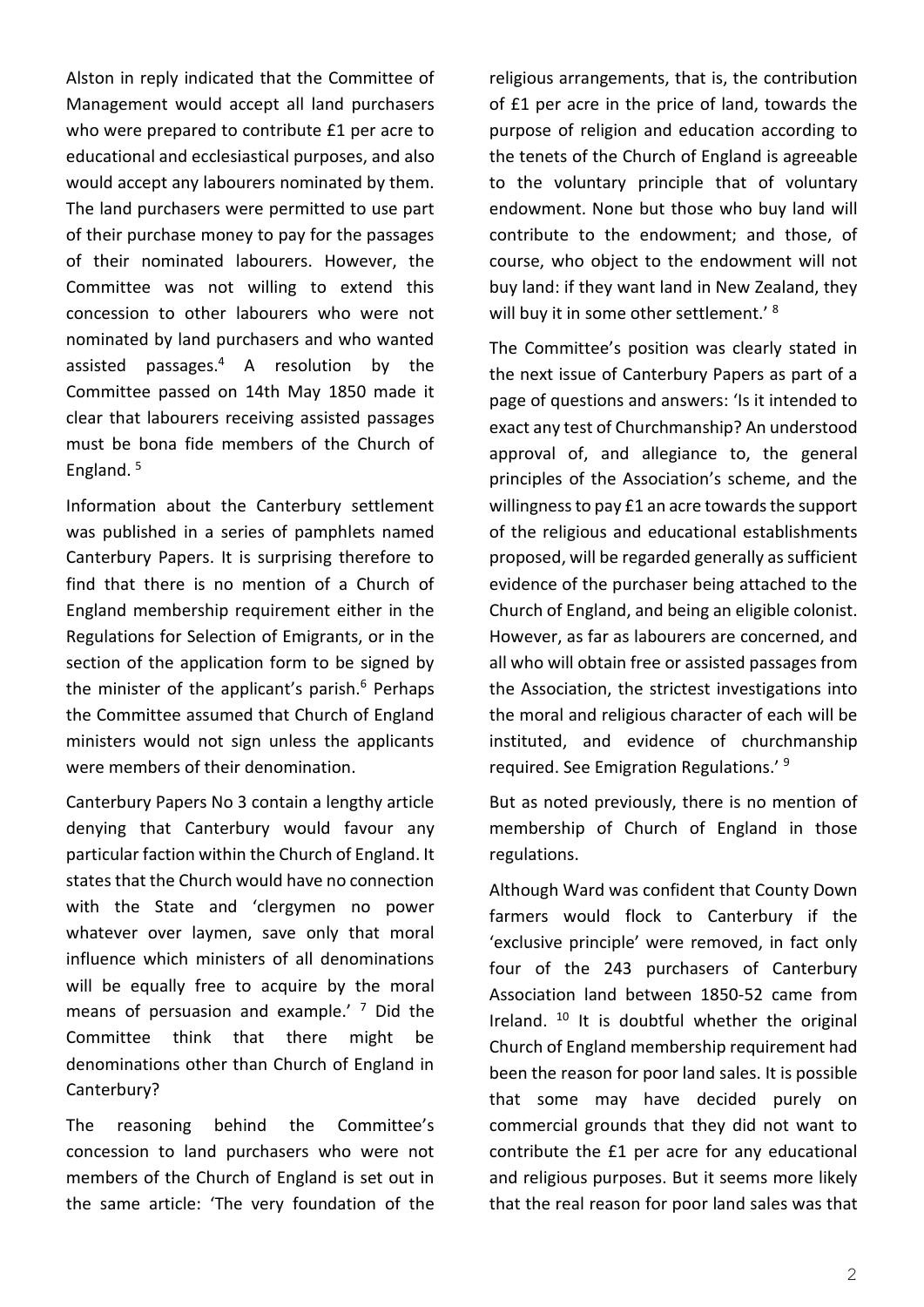Alston in reply indicated that the Committee of Management would accept all land purchasers who were prepared to contribute £1 per acre to educational and ecclesiastical purposes, and also would accept any labourers nominated by them. The land purchasers were permitted to use part of their purchase money to pay for the passages of their nominated labourers. However, the Committee was not willing to extend this concession to other labourers who were not nominated by land purchasers and who wanted assisted passages.<sup>4</sup> A resolution by the Committee passed on 14th May 1850 made it clear that labourers receiving assisted passages must be bona fide members of the Church of England.<sup>5</sup>

Information about the Canterbury settlement was published in a series of pamphlets named Canterbury Papers. It is surprising therefore to find that there is no mention of a Church of England membership requirement either in the Regulations for Selection of Emigrants, or in the section of the application form to be signed by the minister of the applicant's parish.<sup>6</sup> Perhaps the Committee assumed that Church of England ministers would not sign unless the applicants were members of their denomination.

Canterbury Papers No 3 contain a lengthy article denying that Canterbury would favour any particular faction within the Church of England. It states that the Church would have no connection with the State and 'clergymen no power whatever over laymen, save only that moral influence which ministers of all denominations will be equally free to acquire by the moral means of persuasion and example.'  $<sup>7</sup>$  Did the</sup> Committee think that there might be denominations other than Church of England in Canterbury?

The reasoning behind the Committee's concession to land purchasers who were not members of the Church of England is set out in the same article: 'The very foundation of the

religious arrangements, that is, the contribution of £1 per acre in the price of land, towards the purpose of religion and education according to the tenets of the Church of England is agreeable to the voluntary principle that of voluntary endowment. None but those who buy land will contribute to the endowment; and those, of course, who object to the endowment will not buy land: if they want land in New Zealand, they will buy it in some other settlement.' <sup>8</sup>

The Committee's position was clearly stated in the next issue of Canterbury Papers as part of a page of questions and answers: 'Is it intended to exact any test of Churchmanship? An understood approval of, and allegiance to, the general principles of the Association's scheme, and the willingness to pay £1 an acre towards the support of the religious and educational establishments proposed, will be regarded generally as sufficient evidence of the purchaser being attached to the Church of England, and being an eligible colonist. However, as far as labourers are concerned, and all who will obtain free or assisted passages from the Association, the strictest investigations into the moral and religious character of each will be instituted, and evidence of churchmanship required. See Emigration Regulations.' <sup>9</sup>

But as noted previously, there is no mention of membership of Church of England in those regulations.

Although Ward was confident that County Down farmers would flock to Canterbury if the 'exclusive principle' were removed, in fact only four of the 243 purchasers of Canterbury Association land between 1850-52 came from Ireland. <sup>10</sup> It is doubtful whether the original Church of England membership requirement had been the reason for poor land sales. It is possible that some may have decided purely on commercial grounds that they did not want to contribute the £1 per acre for any educational and religious purposes. But it seems more likely that the real reason for poor land sales was that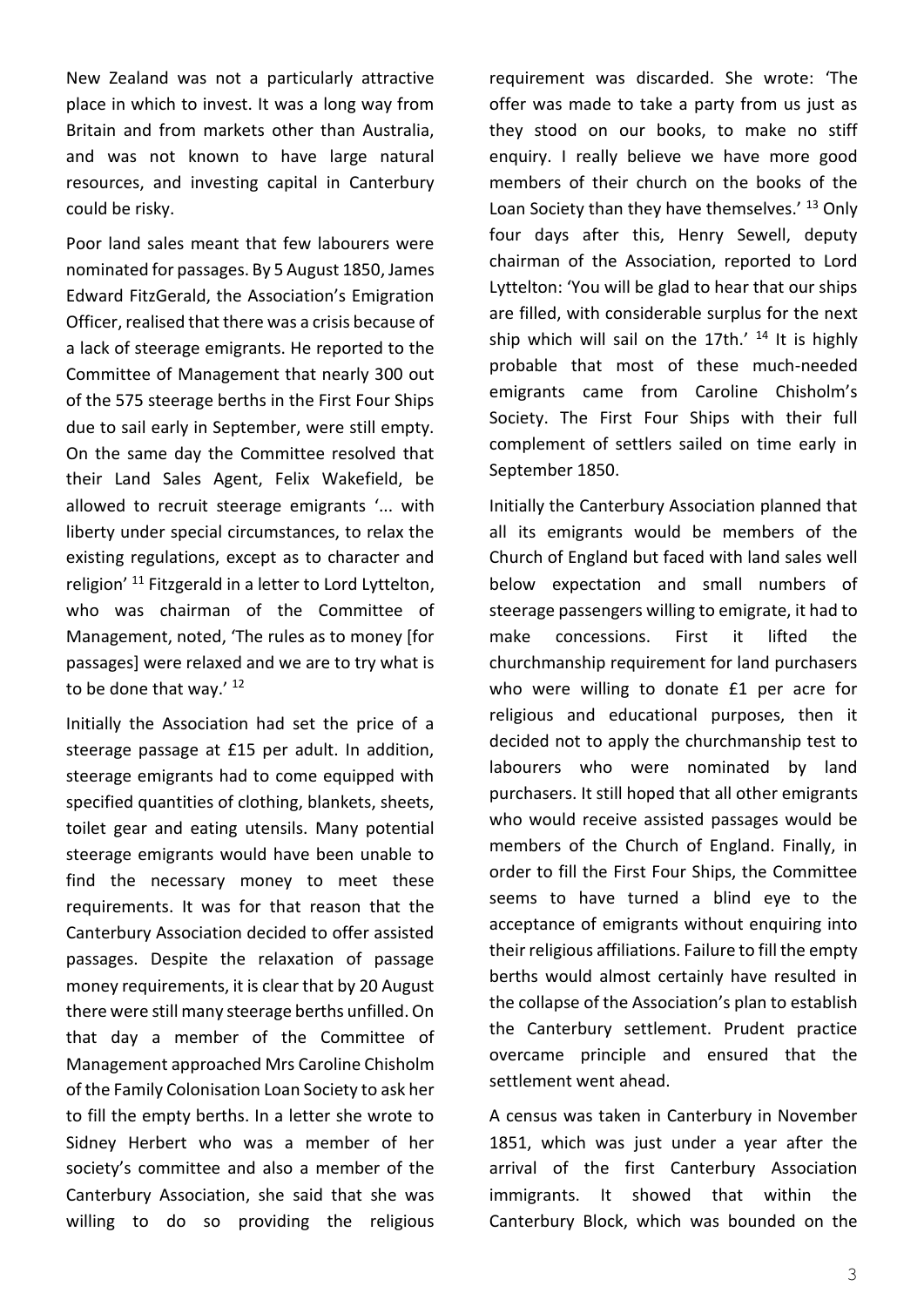New Zealand was not a particularly attractive place in which to invest. It was a long way from Britain and from markets other than Australia, and was not known to have large natural resources, and investing capital in Canterbury could be risky.

Poor land sales meant that few labourers were nominated for passages. By 5 August 1850, James Edward FitzGerald, the Association's Emigration Officer, realised that there was a crisis because of a lack of steerage emigrants. He reported to the Committee of Management that nearly 300 out of the 575 steerage berths in the First Four Ships due to sail early in September, were still empty. On the same day the Committee resolved that their Land Sales Agent, Felix Wakefield, be allowed to recruit steerage emigrants '... with liberty under special circumstances, to relax the existing regulations, except as to character and religion' <sup>11</sup> Fitzgerald in a letter to Lord Lyttelton. who was chairman of the Committee of Management, noted, 'The rules as to money [for passages] were relaxed and we are to try what is to be done that way.'<sup>12</sup>

Initially the Association had set the price of a steerage passage at £15 per adult. In addition, steerage emigrants had to come equipped with specified quantities of clothing, blankets, sheets, toilet gear and eating utensils. Many potential steerage emigrants would have been unable to find the necessary money to meet these requirements. It was for that reason that the Canterbury Association decided to offer assisted passages. Despite the relaxation of passage money requirements, it is clear that by 20 August there were still many steerage berths unfilled. On that day a member of the Committee of Management approached Mrs Caroline Chisholm of the Family Colonisation Loan Society to ask her to fill the empty berths. In a letter she wrote to Sidney Herbert who was a member of her society's committee and also a member of the Canterbury Association, she said that she was willing to do so providing the religious

requirement was discarded. She wrote: 'The offer was made to take a party from us just as they stood on our books, to make no stiff enquiry. I really believe we have more good members of their church on the books of the Loan Society than they have themselves.<sup>' 13</sup> Only four days after this, Henry Sewell, deputy chairman of the Association, reported to Lord Lyttelton: 'You will be glad to hear that our ships are filled, with considerable surplus for the next ship which will sail on the 17th.'  $14$  It is highly probable that most of these much-needed emigrants came from Caroline Chisholm's Society. The First Four Ships with their full complement of settlers sailed on time early in September 1850.

Initially the Canterbury Association planned that all its emigrants would be members of the Church of England but faced with land sales well below expectation and small numbers of steerage passengers willing to emigrate, it had to make concessions. First it lifted the churchmanship requirement for land purchasers who were willing to donate £1 per acre for religious and educational purposes, then it decided not to apply the churchmanship test to labourers who were nominated by land purchasers. It still hoped that all other emigrants who would receive assisted passages would be members of the Church of England. Finally, in order to fill the First Four Ships, the Committee seems to have turned a blind eye to the acceptance of emigrants without enquiring into their religious affiliations. Failure to fill the empty berths would almost certainly have resulted in the collapse of the Association's plan to establish the Canterbury settlement. Prudent practice overcame principle and ensured that the settlement went ahead.

A census was taken in Canterbury in November 1851, which was just under a year after the arrival of the first Canterbury Association immigrants. It showed that within the Canterbury Block, which was bounded on the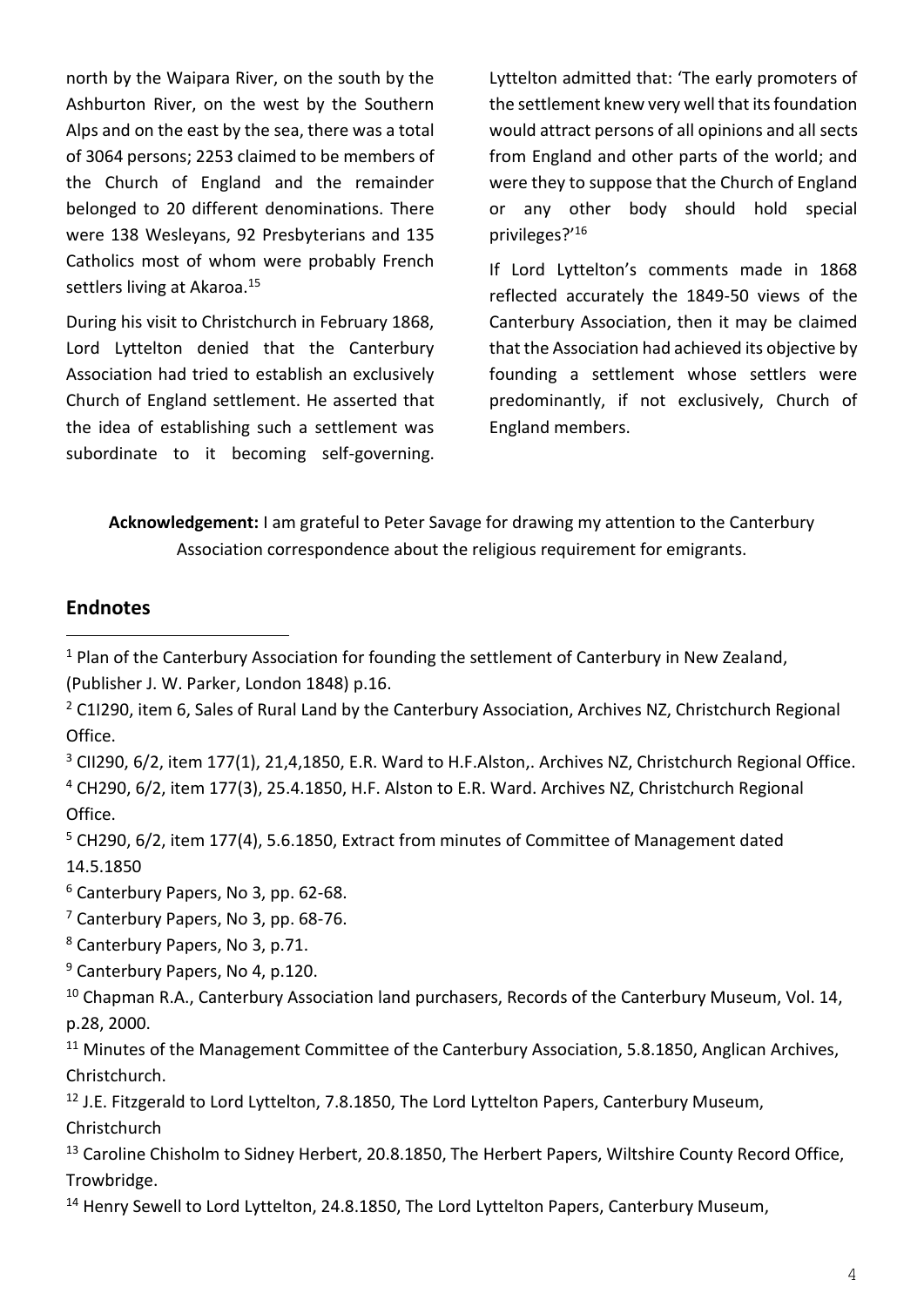north by the Waipara River, on the south by the Ashburton River, on the west by the Southern Alps and on the east by the sea, there was a total of 3064 persons; 2253 claimed to be members of the Church of England and the remainder belonged to 20 different denominations. There were 138 Wesleyans, 92 Presbyterians and 135 Catholics most of whom were probably French settlers living at Akaroa.<sup>15</sup>

During his visit to Christchurch in February 1868, Lord Lyttelton denied that the Canterbury Association had tried to establish an exclusively Church of England settlement. He asserted that the idea of establishing such a settlement was subordinate to it becoming self-governing. Lyttelton admitted that: 'The early promoters of the settlement knew very well that its foundation would attract persons of all opinions and all sects from England and other parts of the world; and were they to suppose that the Church of England or any other body should hold special privileges?' 16

If Lord Lyttelton's comments made in 1868 reflected accurately the 1849-50 views of the Canterbury Association, then it may be claimed that the Association had achieved its objective by founding a settlement whose settlers were predominantly, if not exclusively, Church of England members.

**Acknowledgement:** I am grateful to Peter Savage for drawing my attention to the Canterbury Association correspondence about the religious requirement for emigrants.

## **Endnotes**

- $1$  Plan of the Canterbury Association for founding the settlement of Canterbury in New Zealand, (Publisher J. W. Parker, London 1848) p.16.
- <sup>2</sup> C1I290, item 6, Sales of Rural Land by the Canterbury Association, Archives NZ, Christchurch Regional Office.
- <sup>3</sup> CII290, 6/2, item 177(1), 21,4,1850, E.R. Ward to H.F.Alston,. Archives NZ, Christchurch Regional Office. <sup>4</sup> CH290, 6/2, item 177(3), 25.4.1850, H.F. Alston to E.R. Ward. Archives NZ, Christchurch Regional Office.
- <sup>5</sup> CH290, 6/2, item 177(4), 5.6.1850, Extract from minutes of Committee of Management dated 14.5.1850

<sup>6</sup> Canterbury Papers, No 3, pp. 62-68.

<sup>7</sup> Canterbury Papers, No 3, pp. 68-76.

<sup>8</sup> Canterbury Papers, No 3, p.71.

<sup>9</sup> Canterbury Papers, No 4, p.120.

<sup>10</sup> Chapman R.A., Canterbury Association land purchasers, Records of the Canterbury Museum, Vol. 14, p.28, 2000.

<sup>11</sup> Minutes of the Management Committee of the Canterbury Association, 5.8.1850, Anglican Archives, Christchurch.

<sup>12</sup> J.E. Fitzgerald to Lord Lyttelton, 7.8.1850, The Lord Lyttelton Papers, Canterbury Museum,

Christchurch

<sup>13</sup> Caroline Chisholm to Sidney Herbert, 20.8.1850, The Herbert Papers, Wiltshire County Record Office, Trowbridge.

<sup>14</sup> Henry Sewell to Lord Lyttelton, 24.8.1850, The Lord Lyttelton Papers, Canterbury Museum,